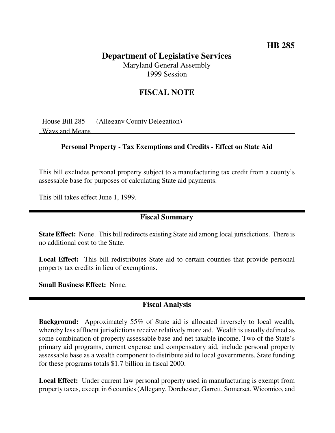## **HB 285**

# **Department of Legislative Services**

Maryland General Assembly 1999 Session

## **FISCAL NOTE**

House Bill 285 (Allegany County Delegation) Ways and Means

#### **Personal Property - Tax Exemptions and Credits - Effect on State Aid**

This bill excludes personal property subject to a manufacturing tax credit from a county's assessable base for purposes of calculating State aid payments.

This bill takes effect June 1, 1999.

#### **Fiscal Summary**

**State Effect:** None. This bill redirects existing State aid among local jurisdictions. There is no additional cost to the State.

**Local Effect:** This bill redistributes State aid to certain counties that provide personal property tax credits in lieu of exemptions.

**Small Business Effect:** None.

### **Fiscal Analysis**

**Background:** Approximately 55% of State aid is allocated inversely to local wealth, whereby less affluent jurisdictions receive relatively more aid. Wealth is usually defined as some combination of property assessable base and net taxable income. Two of the State's primary aid programs, current expense and compensatory aid, include personal property assessable base as a wealth component to distribute aid to local governments. State funding for these programs totals \$1.7 billion in fiscal 2000.

**Local Effect:** Under current law personal property used in manufacturing is exempt from property taxes, except in 6 counties(Allegany, Dorchester, Garrett, Somerset, Wicomico, and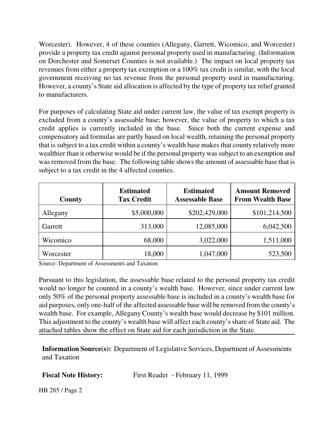Worcester). However, 4 of these counties (Allegany, Garrett, Wicomico, and Worcester) provide a property tax credit against personal property used in manufacturing. (Information on Dorchester and Somerset Counties is not available.) The impact on local property tax revenues from either a property tax exemption or a 100% tax credit is similar, with the local government receiving no tax revenue from the personal property used in manufacturing. However, a county's State aid allocation is affected by the type of property tax relief granted to manufacturers.

For purposes of calculating State aid under current law, the value of tax exempt property is excluded from a county's assessable base; however, the value of property to which a tax credit applies is currently included in the base. Since both the current expense and compensatory aid formulas are partly based on local wealth, retaining the personal property that is subject to a tax credit within a county's wealth base makes that county relatively more wealthier than it otherwise would be if the personal property was subject to an exemption and was removed from the base. The following table shows the amount of assessable base that is subject to a tax credit in the 4 affected counties.

| County    | <b>Estimated</b><br><b>Tax Credit</b> | <b>Estimated</b><br><b>Assessable Base</b> | <b>Amount Removed</b><br><b>From Wealth Base</b> |
|-----------|---------------------------------------|--------------------------------------------|--------------------------------------------------|
| Allegany  | \$5,000,000                           | \$202,429,000                              | \$101,214,500                                    |
| Garrett   | 313,000                               | 12,085,000                                 | 6,042,500                                        |
| Wicomico  | 68,000                                | 3,022,000                                  | 1,511,000                                        |
| Worcester | 18,000                                | 1,047,000                                  | 523,500                                          |

Source: Department of Assessments and Taxation

Pursuant to this legislation, the assessable base related to the personal property tax credit would no longer be counted in a county's wealth base. However, since under current law only 50% of the personal property assessable base is included in a county's wealth base for aid purposes, only one-half of the affected assessable base will be removed from the county's wealth base. For example, Allegany County's wealth base would decrease by \$101 million. This adjustment to the county's wealth base will affect each county'sshare of State aid. The attached tables show the effect on State aid for each jurisdiction in the State.

**Information Source(s):** Department of Legislative Services, Department of Assessments and Taxation

**Fiscal Note History:** First Reader - February 11, 1999

HB 285 / Page 2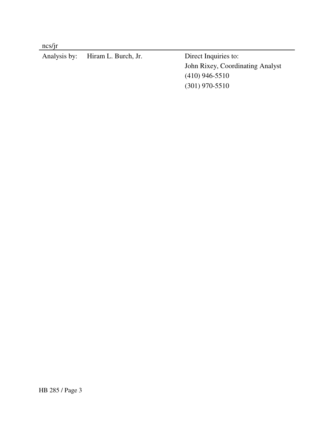ncs/jr

| Analysis by: Hiram L. Burch, Jr. | Direct Inquiries to:             |
|----------------------------------|----------------------------------|
|                                  | John Rixey, Coordinating Analyst |
|                                  | $(410)$ 946-5510                 |
|                                  | $(301)$ 970-5510                 |
|                                  |                                  |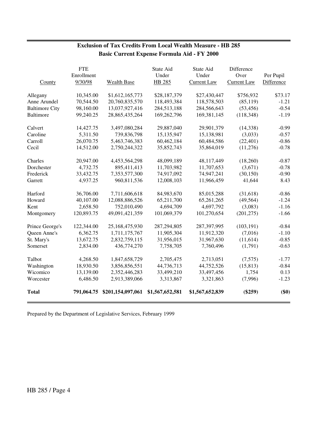#### **Exclusion of Tax Credits From Local Wealth Measure - HB 285 Basic Current Expense Formula Aid - FY 2000**

|                       | <b>FTE</b> |                   | State Aid       | State Aid          | Difference         |            |
|-----------------------|------------|-------------------|-----------------|--------------------|--------------------|------------|
|                       | Enrollment |                   | Under           | Under              | Over               | Per Pupil  |
| County                | 9/30/98    | Wealth Base       | HB 285          | <b>Current Law</b> | <b>Current Law</b> | Difference |
| Allegany              | 10,345.00  | \$1,612,165,773   | \$28,187,379    | \$27,430,447       | \$756,932          | \$73.17    |
| Anne Arundel          | 70,544.50  | 20,760,835,570    | 118,493,384     | 118,578,503        | (85, 119)          | $-1.21$    |
| <b>Baltimore City</b> | 98,160.00  | 13,037,927,416    | 284,513,188     | 284,566,643        | (53, 456)          | $-0.54$    |
| <b>Baltimore</b>      | 99,240.25  | 28,865,435,264    | 169,262,796     | 169,381,145        | (118, 348)         | $-1.19$    |
| Calvert               | 14,427.75  | 3,497,080,284     | 29,887,040      | 29,901,379         | (14, 338)          | $-0.99$    |
| Caroline              | 5,311.50   | 739,836,798       | 15,135,947      | 15,138,981         | (3,033)            | $-0.57$    |
| Carroll               | 26,070.75  | 5,463,746,383     | 60,462,184      | 60,484,586         | (22, 401)          | $-0.86$    |
| Cecil                 | 14,512.00  | 2,750,244,322     | 35,852,743      | 35,864,019         | (11,276)           | $-0.78$    |
| Charles               | 20,947.00  | 4,453,564,298     | 48,099,189      | 48,117,449         | (18,260)           | $-0.87$    |
| Dorchester            | 4,732.75   | 895,411,413       | 11,703,982      | 11,707,653         | (3,671)            | $-0.78$    |
| Frederick             | 33,432.75  | 7,353,577,300     | 74,917,092      | 74,947,241         | (30, 150)          | $-0.90$    |
| Garrett               | 4,937.25   | 960,811,536       | 12,008,103      | 11,966,459         | 41,644             | 8.43       |
| Harford               | 36,706.00  | 7,711,606,618     | 84,983,670      | 85,015,288         | (31,618)           | $-0.86$    |
| Howard                | 40,107.00  | 12,088,886,526    | 65,211,700      | 65,261,265         | (49, 564)          | $-1.24$    |
| Kent                  | 2,658.50   | 752,010,490       | 4,694,709       | 4,697,792          | (3,083)            | $-1.16$    |
| Montgomery            | 120,893.75 | 49,091,421,359    | 101,069,379     | 101,270,654        | (201, 275)         | $-1.66$    |
| Prince George's       | 122,344.00 | 25,168,475,930    | 287,294,805     | 287,397,995        | (103, 191)         | $-0.84$    |
| Queen Anne's          | 6,362.75   | 1,711,175,767     | 11,905,304      | 11,912,320         | (7,016)            | $-1.10$    |
| St. Mary's            | 13,672.75  | 2,832,759,115     | 31,956,015      | 31,967,630         | (11,614)           | $-0.85$    |
| Somerset              | 2,834.00   | 436,774,270       | 7,758,705       | 7,760,496          | (1,791)            | $-0.63$    |
| Talbot                | 4,268.50   | 1,847,658,729     | 2,705,475       | 2,713,051          | (7,575)            | $-1.77$    |
| Washington            | 18,930.50  | 3,856,856,551     | 44,736,713      | 44,752,526         | (15, 813)          | $-0.84$    |
| Wicomico              | 13,139.00  | 2,352,446,283     | 33,499,210      | 33,497,456         | 1,754              | 0.13       |
| Worcester             | 6,486.50   | 2,913,389,066     | 3,313,867       | 3,321,863          | (7,996)            | $-1.23$    |
| <b>Total</b>          | 791,064.75 | \$201,154,097,061 | \$1,567,652,581 | \$1,567,652,839    | $(\$259)$          | $(\$0)$    |

Prepared by the Department of Legislative Services, February 1999